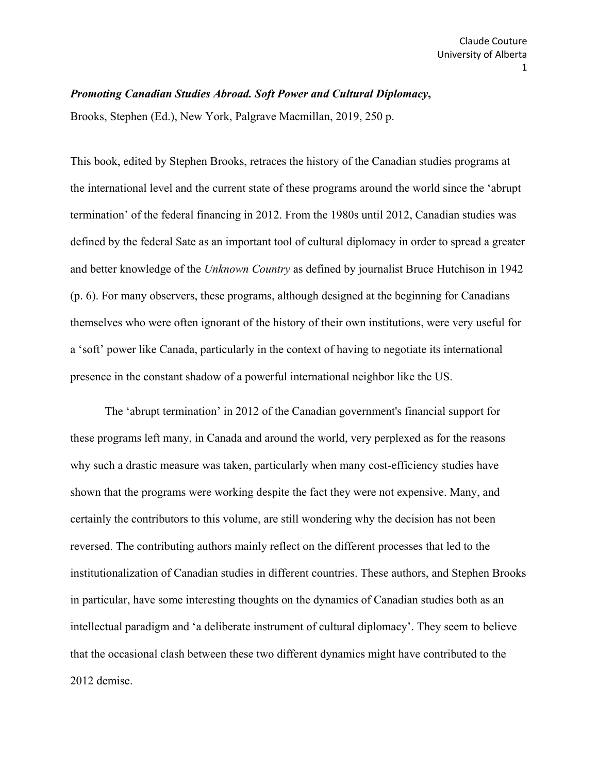## *Promoting Canadian Studies Abroad. Soft Power and Cultural Diplomacy***,**

Brooks, Stephen (Ed.), New York, Palgrave Macmillan, 2019, 250 p.

This book, edited by Stephen Brooks, retraces the history of the Canadian studies programs at the international level and the current state of these programs around the world since the 'abrupt termination' of the federal financing in 2012. From the 1980s until 2012, Canadian studies was defined by the federal Sate as an important tool of cultural diplomacy in order to spread a greater and better knowledge of the *Unknown Country* as defined by journalist Bruce Hutchison in 1942 (p. 6). For many observers, these programs, although designed at the beginning for Canadians themselves who were often ignorant of the history of their own institutions, were very useful for a 'soft' power like Canada, particularly in the context of having to negotiate its international presence in the constant shadow of a powerful international neighbor like the US.

The 'abrupt termination' in 2012 of the Canadian government's financial support for these programs left many, in Canada and around the world, very perplexed as for the reasons why such a drastic measure was taken, particularly when many cost-efficiency studies have shown that the programs were working despite the fact they were not expensive. Many, and certainly the contributors to this volume, are still wondering why the decision has not been reversed. The contributing authors mainly reflect on the different processes that led to the institutionalization of Canadian studies in different countries. These authors, and Stephen Brooks in particular, have some interesting thoughts on the dynamics of Canadian studies both as an intellectual paradigm and 'a deliberate instrument of cultural diplomacy'. They seem to believe that the occasional clash between these two different dynamics might have contributed to the 2012 demise.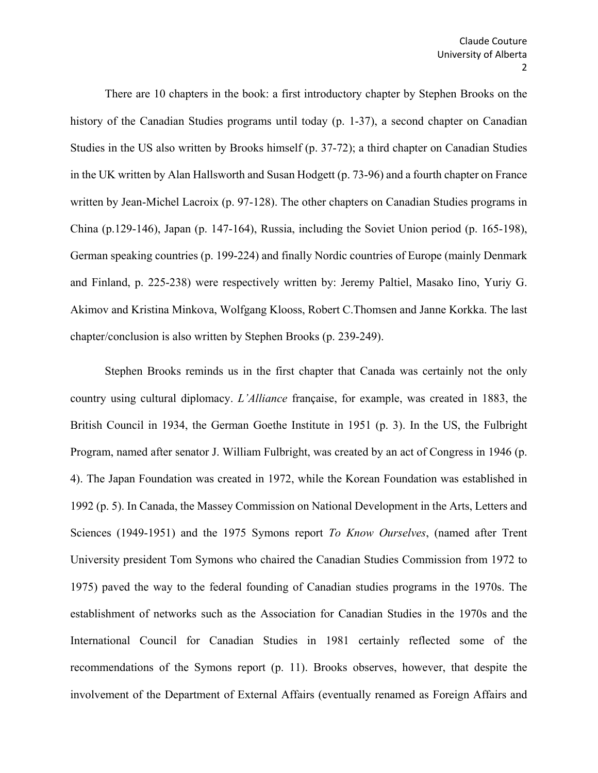There are 10 chapters in the book: a first introductory chapter by Stephen Brooks on the history of the Canadian Studies programs until today (p. 1-37), a second chapter on Canadian Studies in the US also written by Brooks himself (p. 37-72); a third chapter on Canadian Studies in the UK written by Alan Hallsworth and Susan Hodgett (p. 73-96) and a fourth chapter on France written by Jean-Michel Lacroix (p. 97-128). The other chapters on Canadian Studies programs in China (p.129-146), Japan (p. 147-164), Russia, including the Soviet Union period (p. 165-198), German speaking countries (p. 199-224) and finally Nordic countries of Europe (mainly Denmark and Finland, p. 225-238) were respectively written by: Jeremy Paltiel, Masako Iino, Yuriy G. Akimov and Kristina Minkova, Wolfgang Klooss, Robert C.Thomsen and Janne Korkka. The last chapter/conclusion is also written by Stephen Brooks (p. 239-249).

Stephen Brooks reminds us in the first chapter that Canada was certainly not the only country using cultural diplomacy. *L'Alliance* française, for example, was created in 1883, the British Council in 1934, the German Goethe Institute in 1951 (p. 3). In the US, the Fulbright Program, named after senator J. William Fulbright, was created by an act of Congress in 1946 (p. 4). The Japan Foundation was created in 1972, while the Korean Foundation was established in 1992 (p. 5). In Canada, the Massey Commission on National Development in the Arts, Letters and Sciences (1949-1951) and the 1975 Symons report *To Know Ourselves*, (named after Trent University president Tom Symons who chaired the Canadian Studies Commission from 1972 to 1975) paved the way to the federal founding of Canadian studies programs in the 1970s. The establishment of networks such as the Association for Canadian Studies in the 1970s and the International Council for Canadian Studies in 1981 certainly reflected some of the recommendations of the Symons report (p. 11). Brooks observes, however, that despite the involvement of the Department of External Affairs (eventually renamed as Foreign Affairs and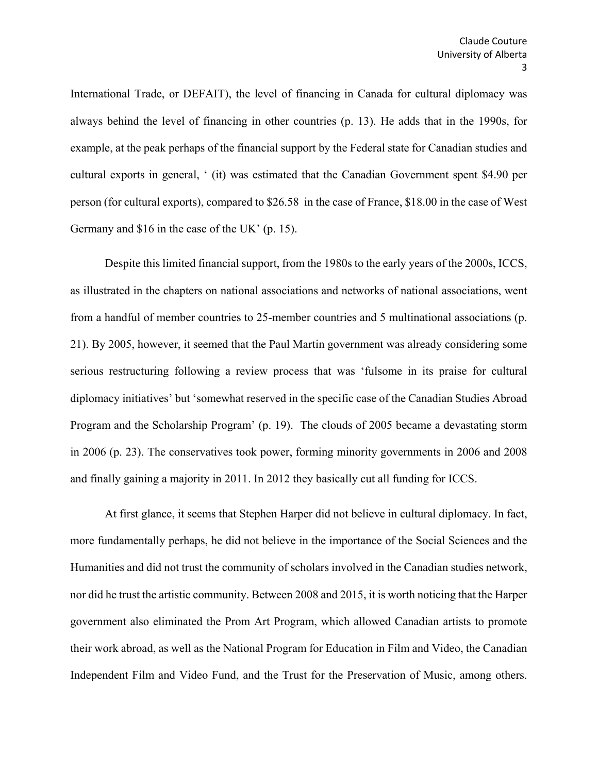International Trade, or DEFAIT), the level of financing in Canada for cultural diplomacy was always behind the level of financing in other countries (p. 13). He adds that in the 1990s, for example, at the peak perhaps of the financial support by the Federal state for Canadian studies and cultural exports in general, ' (it) was estimated that the Canadian Government spent \$4.90 per person (for cultural exports), compared to \$26.58 in the case of France, \$18.00 in the case of West Germany and \$16 in the case of the UK' (p. 15).

Despite this limited financial support, from the 1980s to the early years of the 2000s, ICCS, as illustrated in the chapters on national associations and networks of national associations, went from a handful of member countries to 25-member countries and 5 multinational associations (p. 21). By 2005, however, it seemed that the Paul Martin government was already considering some serious restructuring following a review process that was 'fulsome in its praise for cultural diplomacy initiatives' but 'somewhat reserved in the specific case of the Canadian Studies Abroad Program and the Scholarship Program' (p. 19). The clouds of 2005 became a devastating storm in 2006 (p. 23). The conservatives took power, forming minority governments in 2006 and 2008 and finally gaining a majority in 2011. In 2012 they basically cut all funding for ICCS.

At first glance, it seems that Stephen Harper did not believe in cultural diplomacy. In fact, more fundamentally perhaps, he did not believe in the importance of the Social Sciences and the Humanities and did not trust the community of scholars involved in the Canadian studies network, nor did he trust the artistic community. Between 2008 and 2015, it is worth noticing that the Harper government also eliminated the Prom Art Program, which allowed Canadian artists to promote their work abroad, as well as the National Program for Education in Film and Video, the Canadian Independent Film and Video Fund, and the Trust for the Preservation of Music, among others.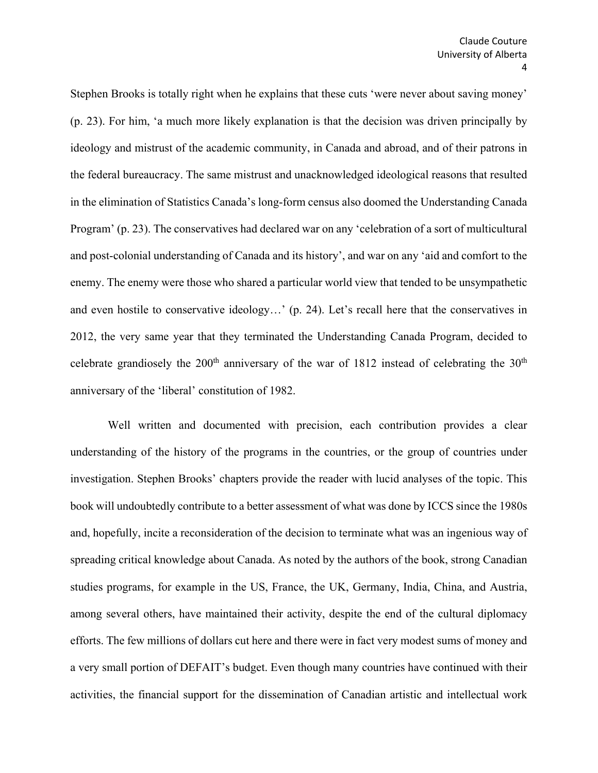Stephen Brooks is totally right when he explains that these cuts 'were never about saving money' (p. 23). For him, 'a much more likely explanation is that the decision was driven principally by ideology and mistrust of the academic community, in Canada and abroad, and of their patrons in the federal bureaucracy. The same mistrust and unacknowledged ideological reasons that resulted in the elimination of Statistics Canada's long-form census also doomed the Understanding Canada Program' (p. 23). The conservatives had declared war on any 'celebration of a sort of multicultural and post-colonial understanding of Canada and its history', and war on any 'aid and comfort to the enemy. The enemy were those who shared a particular world view that tended to be unsympathetic and even hostile to conservative ideology…' (p. 24). Let's recall here that the conservatives in 2012, the very same year that they terminated the Understanding Canada Program, decided to celebrate grandiosely the  $200<sup>th</sup>$  anniversary of the war of 1812 instead of celebrating the  $30<sup>th</sup>$ anniversary of the 'liberal' constitution of 1982.

Well written and documented with precision, each contribution provides a clear understanding of the history of the programs in the countries, or the group of countries under investigation. Stephen Brooks' chapters provide the reader with lucid analyses of the topic. This book will undoubtedly contribute to a better assessment of what was done by ICCS since the 1980s and, hopefully, incite a reconsideration of the decision to terminate what was an ingenious way of spreading critical knowledge about Canada. As noted by the authors of the book, strong Canadian studies programs, for example in the US, France, the UK, Germany, India, China, and Austria, among several others, have maintained their activity, despite the end of the cultural diplomacy efforts. The few millions of dollars cut here and there were in fact very modest sums of money and a very small portion of DEFAIT's budget. Even though many countries have continued with their activities, the financial support for the dissemination of Canadian artistic and intellectual work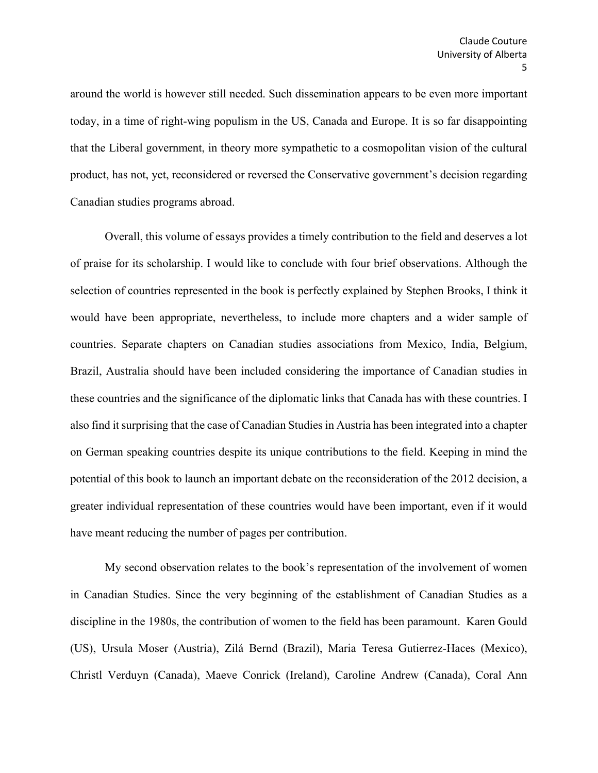around the world is however still needed. Such dissemination appears to be even more important today, in a time of right-wing populism in the US, Canada and Europe. It is so far disappointing that the Liberal government, in theory more sympathetic to a cosmopolitan vision of the cultural product, has not, yet, reconsidered or reversed the Conservative government's decision regarding Canadian studies programs abroad.

Overall, this volume of essays provides a timely contribution to the field and deserves a lot of praise for its scholarship. I would like to conclude with four brief observations. Although the selection of countries represented in the book is perfectly explained by Stephen Brooks, I think it would have been appropriate, nevertheless, to include more chapters and a wider sample of countries. Separate chapters on Canadian studies associations from Mexico, India, Belgium, Brazil, Australia should have been included considering the importance of Canadian studies in these countries and the significance of the diplomatic links that Canada has with these countries. I also find it surprising that the case of Canadian Studies in Austria has been integrated into a chapter on German speaking countries despite its unique contributions to the field. Keeping in mind the potential of this book to launch an important debate on the reconsideration of the 2012 decision, a greater individual representation of these countries would have been important, even if it would have meant reducing the number of pages per contribution.

My second observation relates to the book's representation of the involvement of women in Canadian Studies. Since the very beginning of the establishment of Canadian Studies as a discipline in the 1980s, the contribution of women to the field has been paramount. Karen Gould (US), Ursula Moser (Austria), Zilá Bernd (Brazil), Maria Teresa Gutierrez-Haces (Mexico), Christl Verduyn (Canada), Maeve Conrick (Ireland), Caroline Andrew (Canada), Coral Ann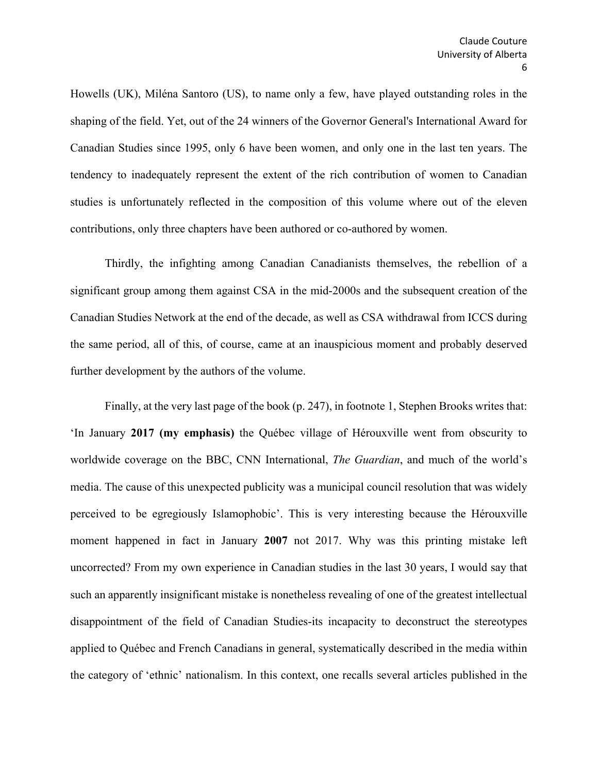Howells (UK), Miléna Santoro (US), to name only a few, have played outstanding roles in the shaping of the field. Yet, out of the 24 winners of the Governor General's International Award for Canadian Studies since 1995, only 6 have been women, and only one in the last ten years. The tendency to inadequately represent the extent of the rich contribution of women to Canadian studies is unfortunately reflected in the composition of this volume where out of the eleven contributions, only three chapters have been authored or co-authored by women.

Thirdly, the infighting among Canadian Canadianists themselves, the rebellion of a significant group among them against CSA in the mid-2000s and the subsequent creation of the Canadian Studies Network at the end of the decade, as well as CSA withdrawal from ICCS during the same period, all of this, of course, came at an inauspicious moment and probably deserved further development by the authors of the volume.

Finally, at the very last page of the book (p. 247), in footnote 1, Stephen Brooks writes that: 'In January **2017 (my emphasis)** the Québec village of Hérouxville went from obscurity to worldwide coverage on the BBC, CNN International, *The Guardian*, and much of the world's media. The cause of this unexpected publicity was a municipal council resolution that was widely perceived to be egregiously Islamophobic'. This is very interesting because the Hérouxville moment happened in fact in January **2007** not 2017. Why was this printing mistake left uncorrected? From my own experience in Canadian studies in the last 30 years, I would say that such an apparently insignificant mistake is nonetheless revealing of one of the greatest intellectual disappointment of the field of Canadian Studies-its incapacity to deconstruct the stereotypes applied to Québec and French Canadians in general, systematically described in the media within the category of 'ethnic' nationalism. In this context, one recalls several articles published in the